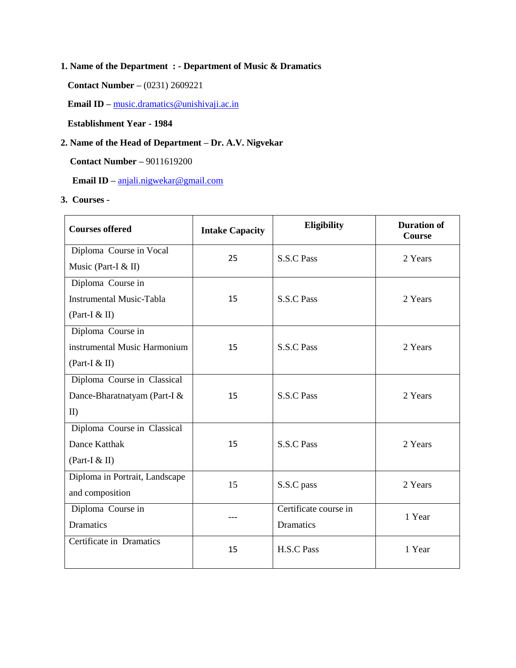### **1. Name of the Department : - Department of Music & Dramatics**

**Contact Number –** (0231) 2609221

**Email ID –** [music.dramatics@unishivaji.ac.in](mailto:music.dramatics@unishivaji.ac.in)

 **Establishment Year - 1984**

## **2. Name of the Head of Department – Dr. A.V. Nigvekar**

**Contact Number –** 9011619200

 **Email ID –** [anjali.nigwekar@gmail.com](mailto:anjali.nigwekar@gmail.com)

**3. Courses -**

| <b>Courses offered</b>          | <b>Intake Capacity</b> | Eligibility           | <b>Duration of</b><br><b>Course</b> |
|---------------------------------|------------------------|-----------------------|-------------------------------------|
| Diploma Course in Vocal         | 25                     | <b>S.S.C Pass</b>     | 2 Years                             |
| Music (Part-I & II)             |                        |                       |                                     |
| Diploma Course in               |                        |                       |                                     |
| <b>Instrumental Music-Tabla</b> | 15                     | <b>S.S.C Pass</b>     | 2 Years                             |
| (Part-I $&$ II)                 |                        |                       |                                     |
| Diploma Course in               |                        |                       |                                     |
| instrumental Music Harmonium    | 15                     | <b>S.S.C Pass</b>     | 2 Years                             |
| (Part-I $&$ II)                 |                        |                       |                                     |
| Diploma Course in Classical     |                        |                       |                                     |
| Dance-Bharatnatyam (Part-I &    | 15                     | <b>S.S.C Pass</b>     | 2 Years                             |
| II)                             |                        |                       |                                     |
| Diploma Course in Classical     |                        |                       |                                     |
| <b>Dance Katthak</b>            | 15                     | <b>S.S.C Pass</b>     | 2 Years                             |
| (Part-I $&$ II)                 |                        |                       |                                     |
| Diploma in Portrait, Landscape  | 15                     | S.S.C pass            | 2 Years                             |
| and composition                 |                        |                       |                                     |
| Diploma Course in               |                        | Certificate course in | 1 Year                              |
| Dramatics                       |                        | Dramatics             |                                     |
| Certificate in Dramatics        | 15                     | H.S.C Pass            | 1 Year                              |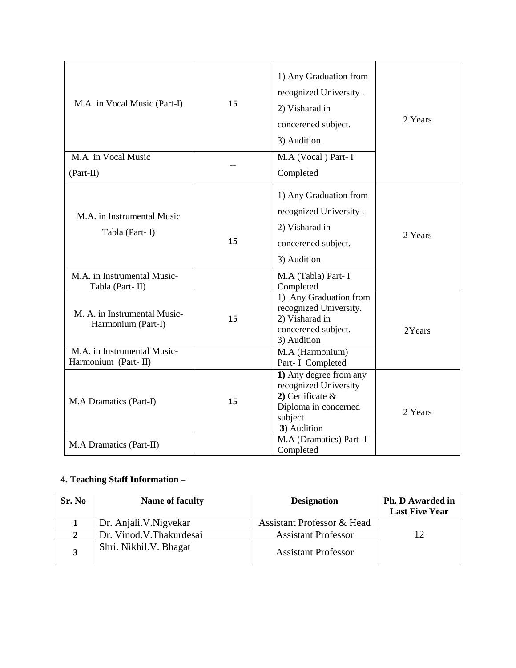| M.A. in Vocal Music (Part-I)                       | 15 | 1) Any Graduation from<br>recognized University.<br>2) Visharad in<br>concerened subject.<br>3) Audition                 | 2 Years |
|----------------------------------------------------|----|--------------------------------------------------------------------------------------------------------------------------|---------|
| M.A in Vocal Music                                 |    | M.A (Vocal) Part-I                                                                                                       |         |
| $(Part-II)$                                        |    | Completed                                                                                                                |         |
| M.A. in Instrumental Music<br>Tabla (Part-I)       | 15 | 1) Any Graduation from<br>recognized University.<br>2) Visharad in<br>concerened subject.<br>3) Audition                 | 2 Years |
| M.A. in Instrumental Music-<br>Tabla (Part-II)     |    | M.A (Tabla) Part-I<br>Completed                                                                                          |         |
| M. A. in Instrumental Music-<br>Harmonium (Part-I) | 15 | 1) Any Graduation from<br>recognized University.<br>2) Visharad in<br>concerened subject.<br>3) Audition                 | 2Years  |
| M.A. in Instrumental Music-<br>Harmonium (Part-II) |    | M.A (Harmonium)<br>Part- I Completed                                                                                     |         |
| M.A Dramatics (Part-I)                             | 15 | 1) Any degree from any<br>recognized University<br>2) Certificate $\&$<br>Diploma in concerned<br>subject<br>3) Audition | 2 Years |
| M.A Dramatics (Part-II)                            |    | M.A (Dramatics) Part- I<br>Completed                                                                                     |         |

## **4. Teaching Staff Information –**

| Sr. No | Name of faculty         | <b>Designation</b>         | <b>Ph. D Awarded in</b><br><b>Last Five Year</b> |
|--------|-------------------------|----------------------------|--------------------------------------------------|
|        | Dr. Anjali. V. Nigvekar | Assistant Professor & Head |                                                  |
|        | Dr. Vinod.V.Thakurdesai | <b>Assistant Professor</b> | 12                                               |
|        | Shri. Nikhil. V. Bhagat | <b>Assistant Professor</b> |                                                  |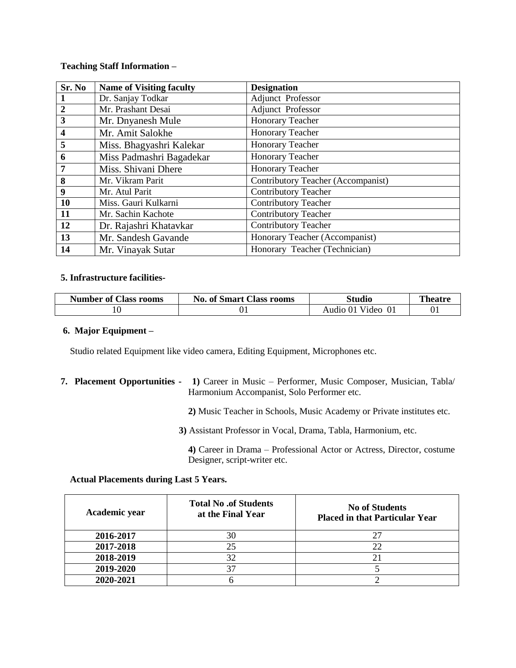#### **Teaching Staff Information –**

| Sr. No                  | <b>Name of Visiting faculty</b> | <b>Designation</b>                        |
|-------------------------|---------------------------------|-------------------------------------------|
|                         | Dr. Sanjay Todkar               | Adjunct Professor                         |
| $\overline{2}$          | Mr. Prashant Desai              | Adjunct Professor                         |
| $\overline{\mathbf{3}}$ | Mr. Dnyanesh Mule               | Honorary Teacher                          |
| $\boldsymbol{4}$        | Mr. Amit Salokhe                | Honorary Teacher                          |
| 5                       | Miss. Bhagyashri Kalekar        | Honorary Teacher                          |
| 6                       | Miss Padmashri Bagadekar        | Honorary Teacher                          |
|                         | Miss. Shivani Dhere             | Honorary Teacher                          |
| 8                       | Mr. Vikram Parit                | <b>Contributory Teacher (Accompanist)</b> |
| 9                       | Mr. Atul Parit                  | <b>Contributory Teacher</b>               |
| 10                      | Miss. Gauri Kulkarni            | <b>Contributory Teacher</b>               |
| 11                      | Mr. Sachin Kachote              | Contributory Teacher                      |
| 12                      | Dr. Rajashri Khatavkar          | <b>Contributory Teacher</b>               |
| 13                      | Mr. Sandesh Gavande             | Honorary Teacher (Accompanist)            |
| 14                      | Mr. Vinayak Sutar               | Honorary Teacher (Technician)             |

#### **5. Infrastructure facilities-**

| <b>Number of Class rooms</b> | <b>No. of Smart Class rooms</b> | Studio            | Theatre        |
|------------------------------|---------------------------------|-------------------|----------------|
|                              | 01                              | Video<br>Audio 01 | 0 <sub>1</sub> |

#### **6. Major Equipment –**

Studio related Equipment like video camera, Editing Equipment, Microphones etc.

**7. Placement Opportunities - 1)** Career in Music – Performer, Music Composer, Musician, Tabla/ Harmonium Accompanist, Solo Performer etc.

 **2)** Music Teacher in Schools, Music Academy or Private institutes etc.

 **3)** Assistant Professor in Vocal, Drama, Tabla, Harmonium, etc.

 **4)** Career in Drama – Professional Actor or Actress, Director, costume Designer, script-writer etc.

#### **Actual Placements during Last 5 Years.**

| Academic year | <b>Total No.of Students</b><br>at the Final Year | <b>No of Students</b><br><b>Placed in that Particular Year</b> |
|---------------|--------------------------------------------------|----------------------------------------------------------------|
| 2016-2017     | 30                                               |                                                                |
| 2017-2018     | つく                                               |                                                                |
| 2018-2019     |                                                  |                                                                |
| 2019-2020     |                                                  |                                                                |
| 2020-2021     |                                                  |                                                                |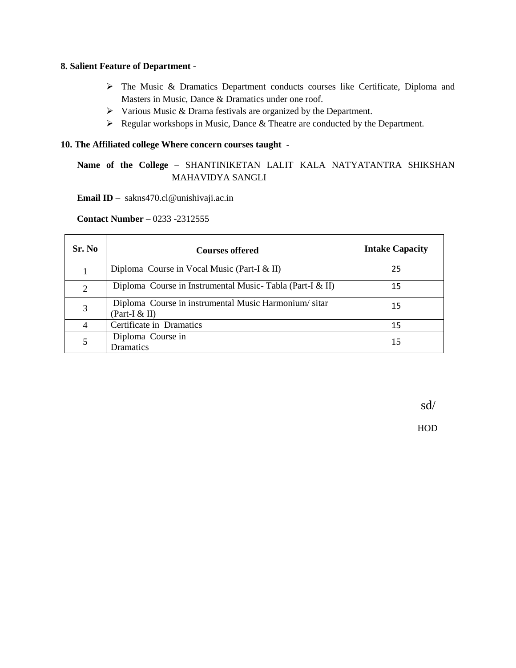#### **8. Salient Feature of Department -**

- The Music & Dramatics Department conducts courses like Certificate, Diploma and Masters in Music, Dance & Dramatics under one roof.
- $\triangleright$  Various Music & Drama festivals are organized by the Department.
- Regular workshops in Music, Dance & Theatre are conducted by the Department.

#### **10. The Affiliated college Where concern courses taught -**

## **Name of the College –** SHANTINIKETAN LALIT KALA NATYATANTRA SHIKSHAN MAHAVIDYA SANGLI

 **Email ID –** sakns470.cl@unishivaji.ac.in

 **Contact Number –** 0233 -2312555

| Sr. No | <b>Courses offered</b>                                                  | <b>Intake Capacity</b> |
|--------|-------------------------------------------------------------------------|------------------------|
|        | Diploma Course in Vocal Music (Part-I $\&$ II)                          | 25                     |
|        | Diploma Course in Instrumental Music-Tabla (Part-I & II)                | 15                     |
|        | Diploma Course in instrumental Music Harmonium/sitar<br>(Part-I $&$ II) | 15                     |
|        | Certificate in Dramatics                                                | 15                     |
|        | Diploma Course in<br>Dramatics                                          |                        |

sd/

HOD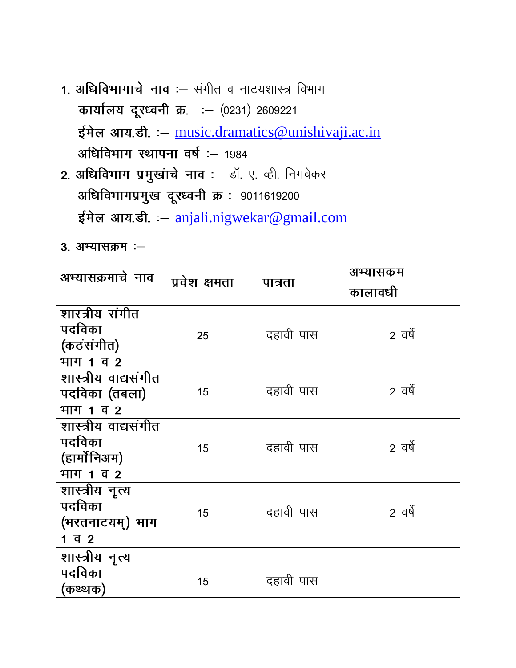- 1. अधिविभागाचे नाव :- संगीत व नाटयशास्त्र विभाग कार्यालय दूरध्वनी क्र. : - (0231) 2609221 ईमेल आय.डी. : - [music.dramatics@unishivaji.ac.in](mailto:music.dramatics@unishivaji.ac.in) अधिविभाग स्थापना वर्ष :- 1984
- 2. अधिविभाग प्रमुखांचे नाव :- डॉ. ए. व्ही. निगवेकर अधिविभागप्रमुख दूरध्वनी क्र :-9011619200 ईमेल आय.डी - [anjali.nigwekar@gmail.com](mailto:anjali.nigwekar@gmail.com)
- 3. अभ्यासक्रम :-

| अभ्यासक्रमाचे नाव                                                  | प्रवेश क्षमता | पात्रता   | अभ्यासकम<br>कालावधी |
|--------------------------------------------------------------------|---------------|-----------|---------------------|
| शास्त्रीय संगीत<br>पदविका<br>(कठंसंगीत)<br>भाग 1 व 2               | 25            | दहावी पास | 2 वर्षे             |
| शास्त्रीय वाद्यसंगीत<br>पदविका (तबला)<br>भाग 1 व 2                 | 15            | दहावी पास | 2 वर्षे             |
| शास्त्रीय वाद्यसंगीत<br>पदविका<br>(हार्मोनिअम)<br>भाग 1 व 2        | 15            | दहावी पास | 2 वर्षे             |
| शास्त्रीय नृत्य<br>पदविका<br>(भरतनाटयम्) भाग<br>$1 \overline{q}$ 2 | 15            | दहावी पास | 2 वर्षे             |
| शास्त्रीय नृत्य<br>पदविका<br>(कथ्थक)                               | 15            | दहावी पास |                     |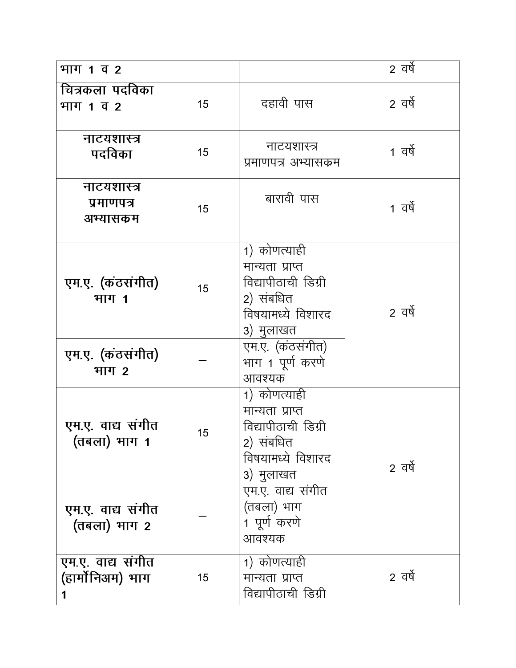| भाग 1 व 2                             |    |                                                                                                       | 2 वर्षे |
|---------------------------------------|----|-------------------------------------------------------------------------------------------------------|---------|
| चित्रकला पदविका<br>भाग 1 व 2          | 15 | दहावी पास                                                                                             | 2 वर्षे |
| नाटयशास्त्र<br>पदविका                 | 15 | नाटयशास्त्र<br>प्रमाणपत्र अभ्यासकम                                                                    | 1 वर्षे |
| नाटयशास्त्र<br>प्रमाणपत्र<br>अभ्यासकम | 15 | बारावी पास                                                                                            | 1 वर्षे |
| एम.ए. (कंठसंगीत)<br>भाग 1             | 15 | 1) कोणत्याही<br>मान्यता प्राप्त<br>विद्यापीठाची डिग्री<br>2) संबधित<br>विषयामध्ये विशारद<br>३) मुलाखत | 2 वर्षे |
| एम.ए. (कंठसंगीत)<br>भाग 2             |    | एम.ए. (कठसंगीत)<br>भाग 1 पूर्ण करणे<br>आवश्यक                                                         |         |
| एम.ए. वाद्य संगीत<br>(तबला) भाग 1     | 15 | 1) कोणत्याही<br>मान्यता प्राप्त<br>विद्यापीठाची डिग्री<br>2) संबधित<br>विषयामध्ये विशारद<br>३) मुलाखत | 2 वर्षे |
| एम.ए. वाद्य संगीत<br>(तबला) भाग 2     |    | एम.ए. वाद्य संगीत<br>(तबला) भाग<br>1 पूर्ण करणे<br>आवश्यक                                             |         |
| एम.ए. वाद्य संगीत<br>(हार्मोनिअम) भाग | 15 | 1) कोणत्याही<br>मान्यता प्राप्त<br>विद्यापीठाची डिग्री                                                | 2 वर्षे |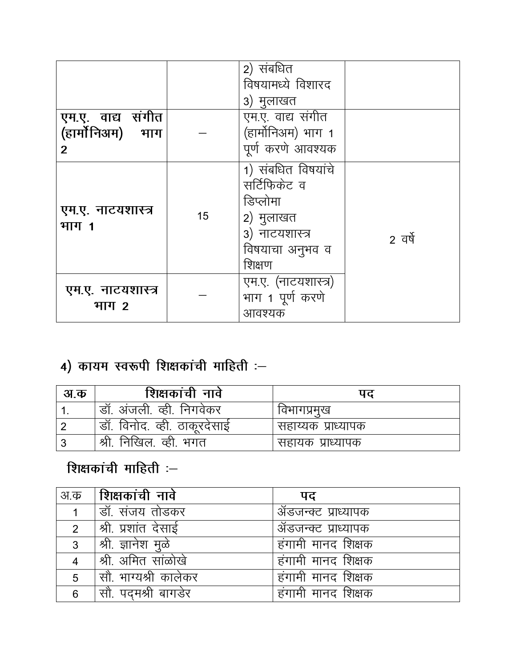| एम.ए. वाद्य संगीत          |    | 2) संबधित<br>विषयामध्ये विशारद<br>3) मुलाखत<br>एम.ए. वाद्य संगीत                                           |         |
|----------------------------|----|------------------------------------------------------------------------------------------------------------|---------|
| (हार्मोनिअम) भाग           |    | (हार्मोनिअम) भाग 1                                                                                         |         |
| $\mathbf{2}$               |    | पूर्ण करणे आवश्यक                                                                                          |         |
| एम.ए. नाटयशास्त्र<br>भाग 1 | 15 | 1) संबधित विषयांचे<br>सर्टिफिकेट व<br>डिप्लोमा<br>2) मुलाखत<br>3) नाटयशास्त्र<br>विषयाचा अनुभव व<br>शिक्षण | 2 वर्षे |
| एम.ए. नाटयशास्त्र<br>भाग 2 |    | एम.ए. (नाटयशास्त्र)<br>भाग 1 पूर्ण करणे<br>आवश्यक                                                          |         |

# 4) कायम स्वरूपी शिक्षकांची माहिती :-

| अ.क | शिक्षकांची नावे                | पद                 |
|-----|--------------------------------|--------------------|
|     | डॉ. अंजली. व्ही. निगवेकर       | विभागप्रमुख        |
|     | । डॉ. विनोद. व्ही. ठाकूरदेसाइं | सहाय्यक प्राध्यापक |
|     | . श्री. निखिल. व्ही. भगत       | सहायक प्राध्यापक   |

# शिक्षकांची माहिती :-

| अ.क | शिक्षकांची नावे      | पद                  |
|-----|----------------------|---------------------|
|     | डॉ. संजय तोडकर       | ॲडजन्क्ट प्राध्यापक |
| 2   | श्री प्रशांत देसाई   | ॲडजन्क्ट प्राध्यापक |
| 3   | श्री. ज्ञानेश मुळे   | हंगामी मानद शिक्षक  |
|     | श्री अमित सांळोखे    | हंगामी मानद शिक्षक  |
| 5   | सौ. भाग्यश्री कालेकर | हंगामी मानद शिक्षक  |
| 6   | सौ. पदमश्री बागडेर   | हंगामी मानद शिक्षक  |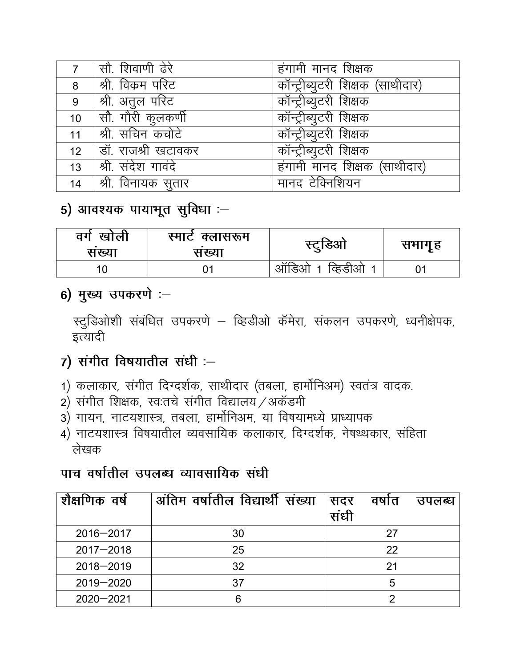|    | 7   सौ. शिवाणी ढेरे               | हंगामी मानद शिक्षक               |
|----|-----------------------------------|----------------------------------|
|    | 8   श्री. विक्रम परिट             | कॉन्ट्रीब्युटरी शिक्षक (साथीदार) |
| 9  | $ $ श्री. अतुल परिट               | कॉन्ट्रीब्युटरी शिक्षक           |
|    | $10$ $\frac{1}{3}$ राौरी कुलकर्णी | कॉन्ट्रीब्युटरी शिक्षक           |
|    | 11  श्री. सचिन कचोटे              | कॉन्ट्रीब्युटरी शिक्षक           |
|    | 12   डॉ. राजश्री खटावकर           | कॉन्ट्रीब्युटरी शिक्षक           |
|    | 13 $ $ श्री. संदेश गावदे          | हंगामी मानद शिक्षक (साथीदार)     |
| 14 | श्री विनायक सुतार                 | मानद टेक्निशियन                  |

5) आवश्यक पायाभूत सुविधा $:=$ 

| वग<br>खोली<br>सख्या | स्माटे क्लासरूम<br>सख्या | स्ट्रुडिआ                           | सभागृह |
|---------------------|--------------------------|-------------------------------------|--------|
|                     |                          | आर्डिओ<br>व्हिडीओ<br>$\overline{1}$ |        |

## 6) मुख्य उपकरणे :-

स्टुडिओशी संबंधित उपकरणे – व्हिडीओ कॅमेरा, संकलन उपकरणे, ध्वनीक्षेपक, इत्यादी

- $7)$  संगीत विषयातील संधी :-
- 1) कलाकार, संगीत दिग्दर्शक, साथीदार (तबला, हार्मोनिअम) स्वतंत्र वादक.
- 2) संगीत शिक्षक, स्वःतचे संगीत विद्यालय $/$ अकॅडमी
- 3) गायन, नाटयशास्त्र, तबला, हार्मोनिअम, या विषयामध्ये प्राध्यापक
- 4) नाटयशास्त्र विषयातील व्यवसायिक कलाकार, दिग्दर्शक, नेषथ्थकार, संहिता लेखक

## पाच वर्षातील उपलब्ध व्यावसायिक संधी

| शैक्षणिक वर्ष | अंतिम वर्षातील विद्यार्थी संख्या | सदर<br>संधी | वषात | उपलब्ध |
|---------------|----------------------------------|-------------|------|--------|
| $2016 - 2017$ | 30                               |             | 27   |        |
| $2017 - 2018$ | 25                               |             | 22   |        |
| $2018 - 2019$ | 32                               |             | 21   |        |
| $2019 - 2020$ | 37                               |             | 5    |        |
| $2020 - 2021$ |                                  |             | ◠    |        |